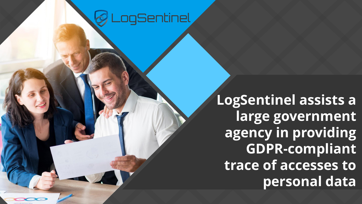## ogSentinel

**LogSentinel assists a large government agency in providing GDPR-compliant trace of accesses to personal data**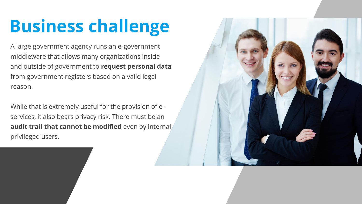## **Business challenge**

A large government agency runs an e-government middleware that allows many organizations inside and outside of government to **request personal data** from government registers based on a valid legal reason.

While that is extremely useful for the provision of eservices, it also bears privacy risk. There must be an **audit trail that cannot be modified** even by internal privileged users.

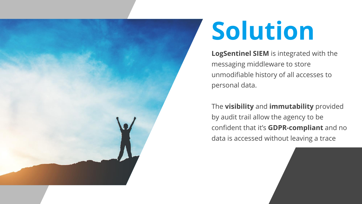

# **Solution**

**LogSentinel SIEM** is integrated with the messaging middleware to store unmodifiable history of all accesses to personal data.

The **visibility** and **immutability** provided by audit trail allow the agency to be confident that it's **GDPR-compliant** and no data is accessed without leaving a trace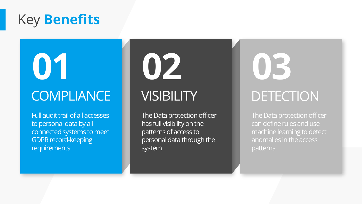### Key **Benefits**

**01**

## **COMPLIANCE**

Full audit trail of all accesses to personal data by all connected systems to meet GDPR record-keeping requirements

# **02**

### **VISIBILITY**

The Data protection officer has full visibility on the patterns of access to personal data through the system

## **03** DETECTION

The Data protection officer can define rules and use machine learning to detect anomalies in the access patterns